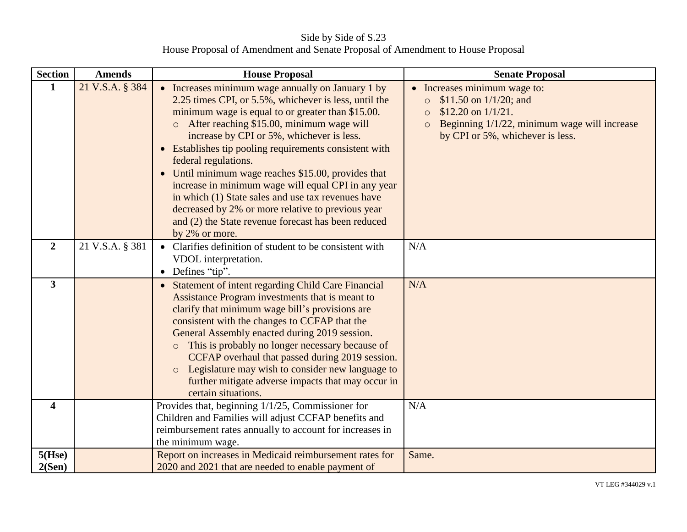Side by Side of S.23 House Proposal of Amendment and Senate Proposal of Amendment to House Proposal

| <b>Section</b>          | <b>Amends</b>   | <b>House Proposal</b>                                                                                                                                                                                                                                                                                                                                                                                                                                                                                                                                                                                                                                  | <b>Senate Proposal</b>                                                                                                                                                                       |
|-------------------------|-----------------|--------------------------------------------------------------------------------------------------------------------------------------------------------------------------------------------------------------------------------------------------------------------------------------------------------------------------------------------------------------------------------------------------------------------------------------------------------------------------------------------------------------------------------------------------------------------------------------------------------------------------------------------------------|----------------------------------------------------------------------------------------------------------------------------------------------------------------------------------------------|
| $\mathbf{1}$            | 21 V.S.A. § 384 | • Increases minimum wage annually on January 1 by<br>2.25 times CPI, or 5.5%, whichever is less, until the<br>minimum wage is equal to or greater than \$15.00.<br>After reaching \$15.00, minimum wage will<br>increase by CPI or 5%, whichever is less.<br>Establishes tip pooling requirements consistent with<br>$\bullet$<br>federal regulations.<br>Until minimum wage reaches \$15.00, provides that<br>increase in minimum wage will equal CPI in any year<br>in which (1) State sales and use tax revenues have<br>decreased by 2% or more relative to previous year<br>and (2) the State revenue forecast has been reduced<br>by 2% or more. | • Increases minimum wage to:<br>\$11.50 on $1/1/20$ ; and<br>$\circ$<br>\$12.20 on $1/1/21$ .<br>$\circ$<br>Beginning 1/1/22, minimum wage will increase<br>by CPI or 5%, whichever is less. |
| $\overline{2}$          | 21 V.S.A. § 381 | Clarifies definition of student to be consistent with<br>VDOL interpretation.<br>Defines "tip".<br>$\bullet$                                                                                                                                                                                                                                                                                                                                                                                                                                                                                                                                           | N/A                                                                                                                                                                                          |
| $\mathbf{3}$            |                 | Statement of intent regarding Child Care Financial<br>$\bullet$<br>Assistance Program investments that is meant to<br>clarify that minimum wage bill's provisions are<br>consistent with the changes to CCFAP that the<br>General Assembly enacted during 2019 session.<br>This is probably no longer necessary because of<br>$\circ$<br>CCFAP overhaul that passed during 2019 session.<br>Legislature may wish to consider new language to<br>$\circ$<br>further mitigate adverse impacts that may occur in<br>certain situations.                                                                                                                   | N/A                                                                                                                                                                                          |
| $\overline{\mathbf{4}}$ |                 | Provides that, beginning 1/1/25, Commissioner for<br>Children and Families will adjust CCFAP benefits and<br>reimbursement rates annually to account for increases in<br>the minimum wage.                                                                                                                                                                                                                                                                                                                                                                                                                                                             | N/A                                                                                                                                                                                          |
| $5($ Hse $)$<br>2(Sen)  |                 | Report on increases in Medicaid reimbursement rates for<br>2020 and 2021 that are needed to enable payment of                                                                                                                                                                                                                                                                                                                                                                                                                                                                                                                                          | Same.                                                                                                                                                                                        |